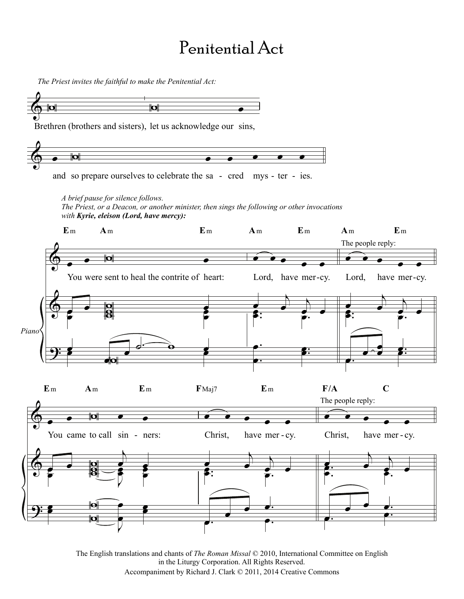## Penitential Act

 $\overline{\mathbf{b}}$ Brethren (brothers and sisters), let us acknowledge our sins, *The Priest invites the faithful to make the Penitential Act:*  $\bullet$ **Example 2** and so prepare ourselves to celebrate the sa - cred mys - ter - ies.  $\pmb{\Phi}$  $\pmb{\mathbb{\phi}}$ <u>.</u>  $\bullet$   $\bullet$   $\bullet$   $\bullet$ You were sent to heal the contrite of heart:  $\begin{array}{|c|c|c|c|}\n\hline\n\text{e} & \text{e} & \text{e} & \text{e} \\
\hline\n\text{e} & \text{e} & \text{e} & \text{e} & \text{e} \\
\hline\n\text{f} & \text{f} & \text{f} & \text{f} & \text{f} \\
\hline\n\text{f} & \text{f} & \text{f} & \text{f} & \text{f} & \text{f}\n\end{array}$ e<br>P WW œ ě<br>P œ œ œ  $\begin{array}{ccc} \bullet & \bullet & \bullet & \bullet \\ \bullet & \bullet & \bullet & \bullet \end{array}$  $\overline{\mathbf{p}}$ œ **E**m **A**m **E**m *A brief pause for silence follows. The Priest, or a Deacon, or another minister, then sings the following or other invocations with Kyrie, eleison (Lord, have mercy): Piano*  $\hat{\cdot}$   $\cdot$   $\cdot$ Lord, have mer-cy.  $\overrightarrow{a}$  $\epsilon$ .  $\epsilon$ .  $\overline{\mathbf{c}}$ . . . œ  $\begin{array}{ccc} \bullet^{\cdot} & \bullet^{\cdot} \ \bullet & \bullet^{\cdot} \end{array}$ **g**: œ **A**m **E**m  $\hat{\cdot}$   $\cdot$   $\cdot$ -cy. Lord, have mer-cy.  $\overrightarrow{=}$  $\begin{array}{c} \bullet \\ \bullet \\ \bullet \end{array}$ .  $\overrightarrow{s}$ . œ œ œ  $\overrightarrow{e}$   $\overrightarrow{e}$   $\overrightarrow{e}$   $\overrightarrow{e}$   $\overrightarrow{e}$ **A**m **E**m The people reply:  $\pmb{\phi}$  $\pmb{\phi}$ <u>.</u> œ œ W œ œ You came to call sin - ners:  $\begin{array}{|c|c|c|c|c|}\n\hline\n\text{e} & \text{e} & \text{e} \\
\hline\n\text{e} & \text{e} & \text{e} & \text{e}\n\end{array}$  $\overrightarrow{a}$   $\overrightarrow{b}$   $\overrightarrow{c}$   $\overrightarrow{c}$ œ  $\overset{\text{o}}{\text{g}}$ e<br>S e e<br>F e **ی**<br>● œ œ  $\mathbf{\overline{p}}$  $\overline{\mathbb{P}(\mathbb{Q})}$ œ e<br>R œ œ **E**m **A**m **E**m  $\hat{\cdot}$   $\cdot$   $\cdot$   $\cdot$ - ners: Christ, have mer - cy. Christ, have mer - $\overrightarrow{a}$  $\bullet$  .  $\bullet$  .  $\bullet$  .  $\bullet$  $\frac{1}{\epsilon}$ . œ œ  $\begin{array}{|c|c|} \hline \rule{0.2cm}{1.1ex}\quad \rule{0.2cm}{1.1ex}\quad \rule{0.2cm}{1.1ex}\quad \rule{0.2cm}{1.1ex}\quad \rule{0.2cm}{1.1ex}\quad \rule{0.2cm}{1.1ex}\quad \rule{0.2cm}{1.1ex}\quad \rule{0.2cm}{1.1ex}\quad \rule{0.2cm}{1.1ex}\quad \rule{0.2cm}{1.1ex}\quad \rule{0.2cm}{1.1ex}\quad \rule{0.2cm}{1.1ex}\quad \rule{0.2cm}{1.1ex}\quad \rule{0.2cm}{1.1ex}\quad \rule{0.2cm}{1.$ **F**Maj7 **E**m  $\overrightarrow{e}$   $\overrightarrow{e}$ Christ, have mer - cy.  $\overline{\mathbf{z}}$  ,  $\overline{\mathbf{z}}$  $\overrightarrow{e}$  . e<br>A  $\overline{e}$ .  $\overline{e}$ . œ <sup>œ</sup> <sup>œ</sup> œ. œ. œ. **F/A C** The people reply: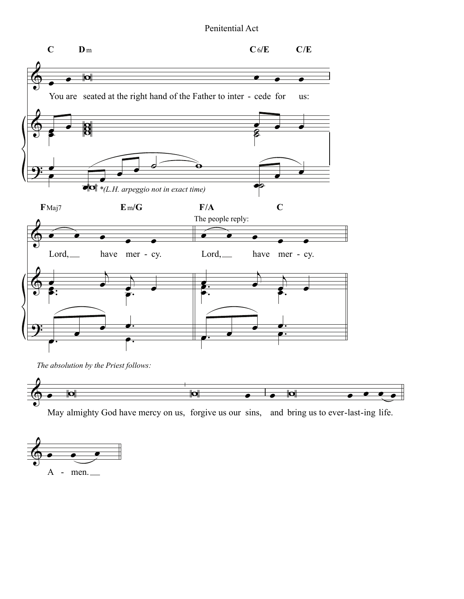#### Penitential Act





May almighty God have mercy on us, forgive us our sins, and bring us to ever-last-ing life.

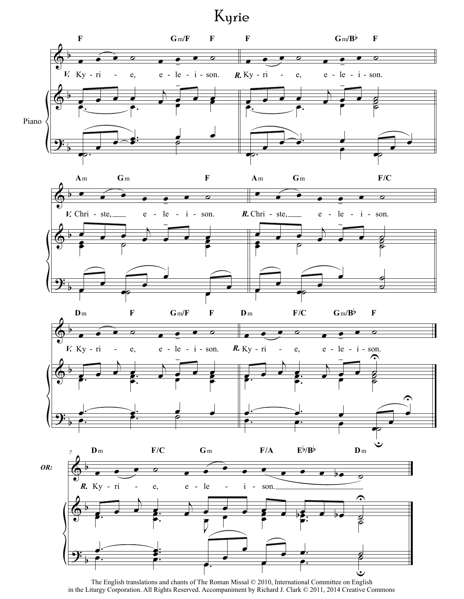# Kyrie



The English translations and chants of The Roman Missal © 2010, International Committee on English in the Liturgy Corporation. All Rights Reserved. Accompaniment by Richard J. Clark © 2011, 2014 Creative Commons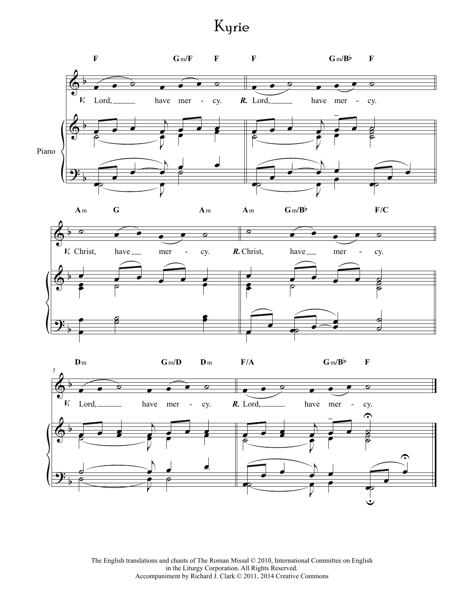## Kyrie

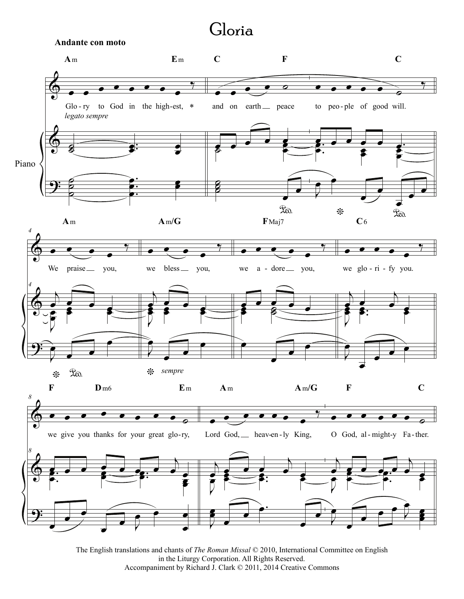### Gloria

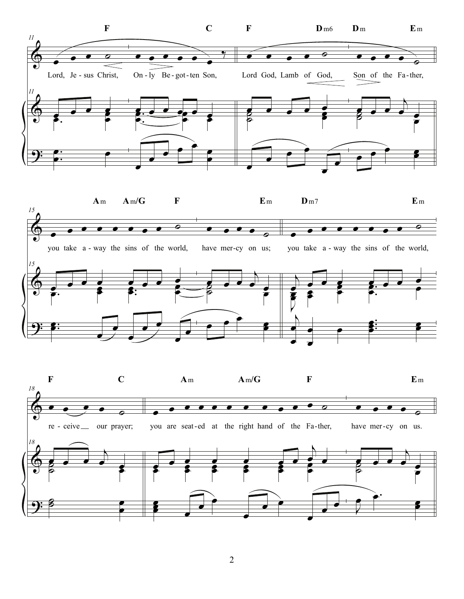

2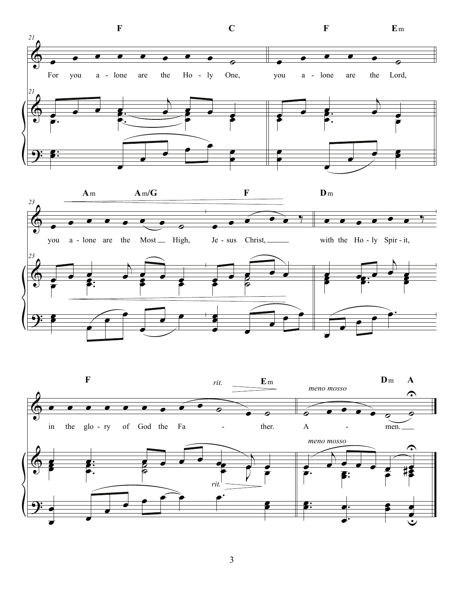

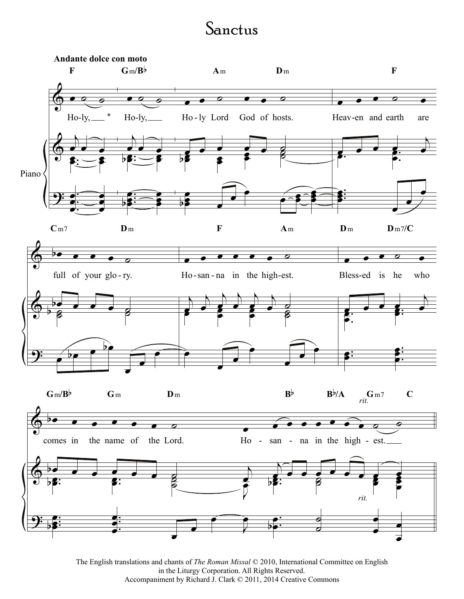## Sanctus



The English translations and chants of *The Roman Missal* © 2010, International Committee on English in the Liturgy Corporation. All Rights Reserved. Accompaniment by Richard J. Clark © 2011, 2014 Creative Commons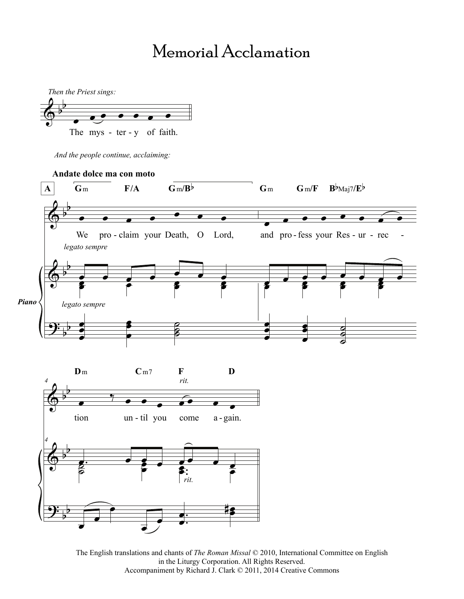## Memorial Acclamation



*And the people continue, acclaiming:*

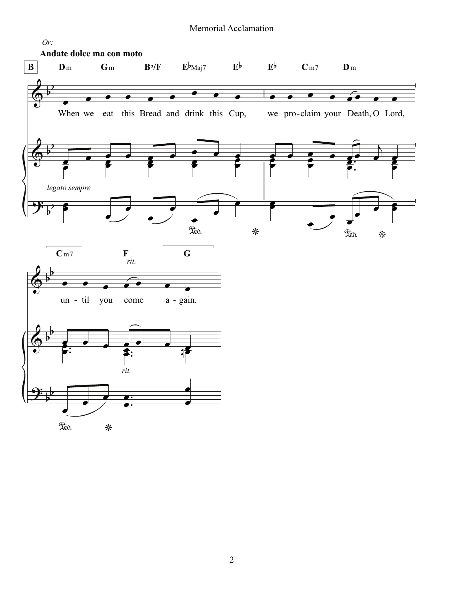### Memorial Acclamation

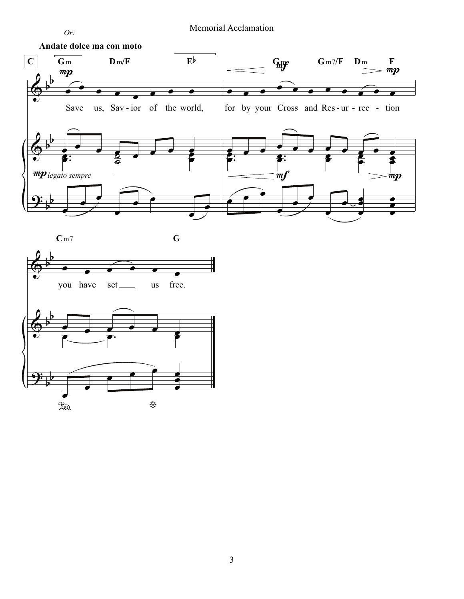

Memorial Acclamation



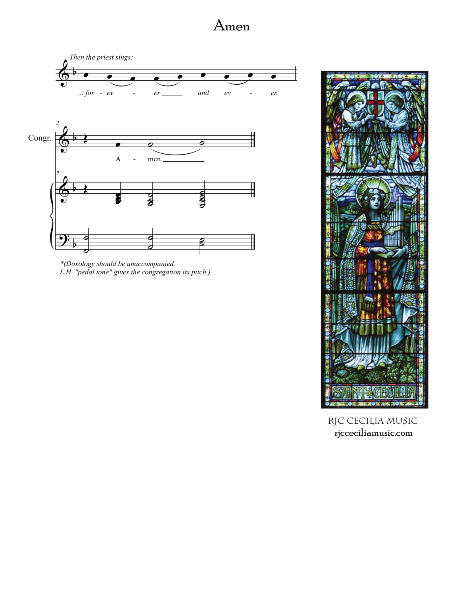



\*(Doxology should be unaccompanied.<br>L.H. "pedal tone" gives the congregation its pitch.)



RJC CECILIA MUSIC rjcceciliamusic.com